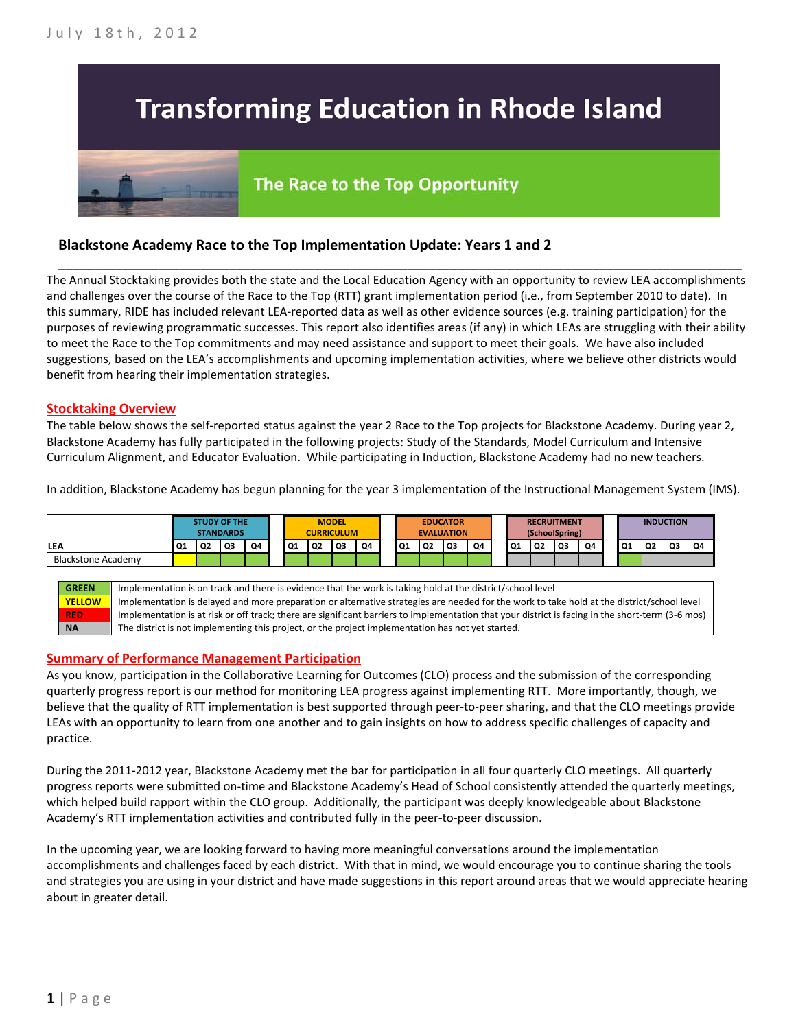# **Transforming Education in Rhode Island**

# The Race to the Top Opportunity

## **Blackstone Academy Race to the Top Implementation Update: Years 1 and 2**

The Annual Stocktaking provides both the state and the Local Education Agency with an opportunity to review LEA accomplishments and challenges over the course of the Race to the Top (RTT) grant implementation period (i.e., from September 2010 to date). In this summary, RIDE has included relevant LEA-reported data as well as other evidence sources (e.g. training participation) for the purposes of reviewing programmatic successes. This report also identifies areas (if any) in which LEAs are struggling with their ability to meet the Race to the Top commitments and may need assistance and support to meet their goals. We have also included suggestions, based on the LEA's accomplishments and upcoming implementation activities, where we believe other districts would benefit from hearing their implementation strategies.

\_\_\_\_\_\_\_\_\_\_\_\_\_\_\_\_\_\_\_\_\_\_\_\_\_\_\_\_\_\_\_\_\_\_\_\_\_\_\_\_\_\_\_\_\_\_\_\_\_\_\_\_\_\_\_\_\_\_\_\_\_\_\_\_\_\_\_\_\_\_\_\_\_\_\_\_\_\_\_\_\_\_\_\_\_\_\_\_\_\_\_\_\_\_\_\_

#### **Stocktaking Overview**

The table below shows the self-reported status against the year 2 Race to the Top projects for Blackstone Academy. During year 2, Blackstone Academy has fully participated in the following projects: Study of the Standards, Model Curriculum and Intensive Curriculum Alignment, and Educator Evaluation. While participating in Induction, Blackstone Academy had no new teachers.

In addition, Blackstone Academy has begun planning for the year 3 implementation of the Instructional Management System (IMS).



#### **Summary of Performance Management Participation**

As you know, participation in the Collaborative Learning for Outcomes (CLO) process and the submission of the corresponding quarterly progress report is our method for monitoring LEA progress against implementing RTT. More importantly, though, we believe that the quality of RTT implementation is best supported through peer-to-peer sharing, and that the CLO meetings provide LEAs with an opportunity to learn from one another and to gain insights on how to address specific challenges of capacity and practice.

During the 2011-2012 year, Blackstone Academy met the bar for participation in all four quarterly CLO meetings. All quarterly progress reports were submitted on-time and Blackstone Academy's Head of School consistently attended the quarterly meetings, which helped build rapport within the CLO group. Additionally, the participant was deeply knowledgeable about Blackstone Academy's RTT implementation activities and contributed fully in the peer-to-peer discussion.

In the upcoming year, we are looking forward to having more meaningful conversations around the implementation accomplishments and challenges faced by each district. With that in mind, we would encourage you to continue sharing the tools and strategies you are using in your district and have made suggestions in this report around areas that we would appreciate hearing about in greater detail.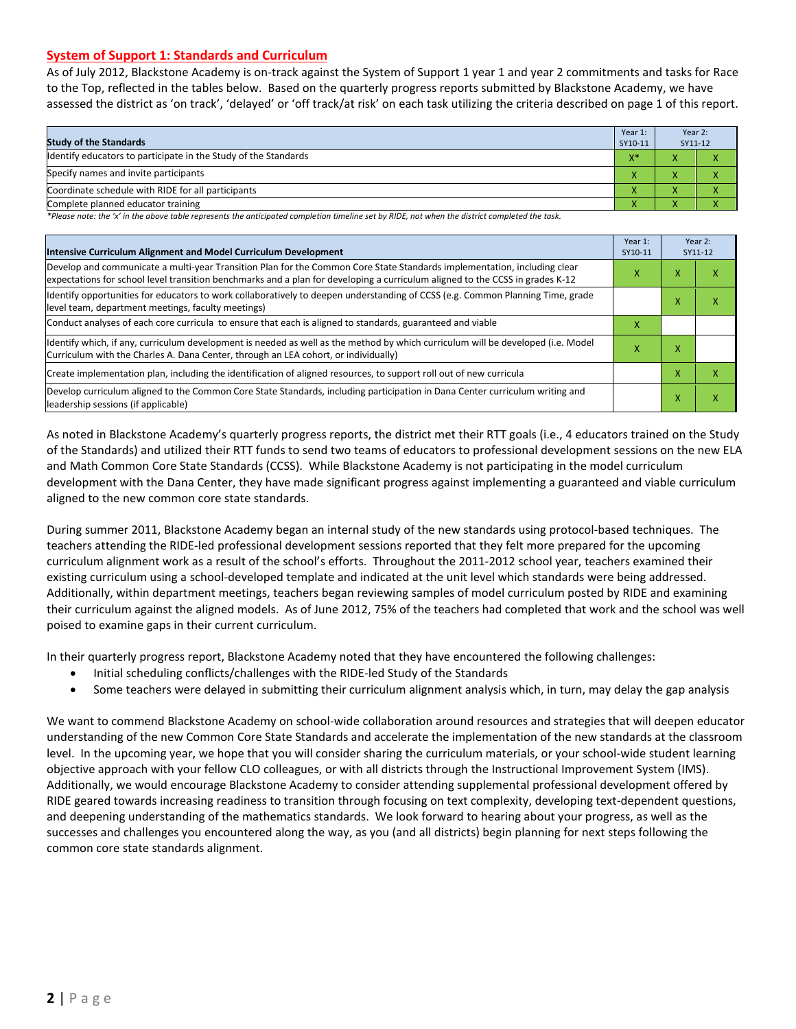#### **System of Support 1: Standards and Curriculum**

As of July 2012, Blackstone Academy is on-track against the System of Support 1 year 1 and year 2 commitments and tasks for Race to the Top, reflected in the tables below. Based on the quarterly progress reports submitted by Blackstone Academy, we have assessed the district as 'on track', 'delayed' or 'off track/at risk' on each task utilizing the criteria described on page 1 of this report.

| <b>Study of the Standards</b>                                   | Year 1:<br>SY10-11 | Year 2:<br>SY11-12 |  |
|-----------------------------------------------------------------|--------------------|--------------------|--|
| Identify educators to participate in the Study of the Standards | $X^*$              |                    |  |
| Specify names and invite participants                           | $\overline{ }$     |                    |  |
| Coordinate schedule with RIDE for all participants              | $\Lambda$          | $\mathbf{\Lambda}$ |  |
| Complete planned educator training                              | $\Lambda$          | $\mathbf{\Lambda}$ |  |

*\*Please note: the 'x' in the above table represents the anticipated completion timeline set by RIDE, not when the district completed the task.*

| Intensive Curriculum Alignment and Model Curriculum Development                                                                                                                                                                                           | Year 1:<br>SY10-11 |   | Year 2:<br>SY11-12 |
|-----------------------------------------------------------------------------------------------------------------------------------------------------------------------------------------------------------------------------------------------------------|--------------------|---|--------------------|
| Develop and communicate a multi-year Transition Plan for the Common Core State Standards implementation, including clear<br>expectations for school level transition benchmarks and a plan for developing a curriculum aligned to the CCSS in grades K-12 |                    | X | х                  |
| Identify opportunities for educators to work collaboratively to deepen understanding of CCSS (e.g. Common Planning Time, grade<br>level team, department meetings, faculty meetings)                                                                      |                    | x | ⋏                  |
| Conduct analyses of each core curricula to ensure that each is aligned to standards, guaranteed and viable                                                                                                                                                |                    |   |                    |
| ldentify which, if any, curriculum development is needed as well as the method by which curriculum will be developed (i.e. Model<br>Curriculum with the Charles A. Dana Center, through an LEA cohort, or individually)                                   | x                  | Χ |                    |
| Create implementation plan, including the identification of aligned resources, to support roll out of new curricula                                                                                                                                       |                    | x | x                  |
| Develop curriculum aligned to the Common Core State Standards, including participation in Dana Center curriculum writing and<br>leadership sessions (if applicable)                                                                                       |                    | x | x                  |

As noted in Blackstone Academy's quarterly progress reports, the district met their RTT goals (i.e., 4 educators trained on the Study of the Standards) and utilized their RTT funds to send two teams of educators to professional development sessions on the new ELA and Math Common Core State Standards (CCSS). While Blackstone Academy is not participating in the model curriculum development with the Dana Center, they have made significant progress against implementing a guaranteed and viable curriculum aligned to the new common core state standards.

During summer 2011, Blackstone Academy began an internal study of the new standards using protocol-based techniques. The teachers attending the RIDE-led professional development sessions reported that they felt more prepared for the upcoming curriculum alignment work as a result of the school's efforts. Throughout the 2011-2012 school year, teachers examined their existing curriculum using a school-developed template and indicated at the unit level which standards were being addressed. Additionally, within department meetings, teachers began reviewing samples of model curriculum posted by RIDE and examining their curriculum against the aligned models. As of June 2012, 75% of the teachers had completed that work and the school was well poised to examine gaps in their current curriculum.

In their quarterly progress report, Blackstone Academy noted that they have encountered the following challenges:

- Initial scheduling conflicts/challenges with the RIDE-led Study of the Standards
- Some teachers were delayed in submitting their curriculum alignment analysis which, in turn, may delay the gap analysis

We want to commend Blackstone Academy on school-wide collaboration around resources and strategies that will deepen educator understanding of the new Common Core State Standards and accelerate the implementation of the new standards at the classroom level. In the upcoming year, we hope that you will consider sharing the curriculum materials, or your school-wide student learning objective approach with your fellow CLO colleagues, or with all districts through the Instructional Improvement System (IMS). Additionally, we would encourage Blackstone Academy to consider attending supplemental professional development offered by RIDE geared towards increasing readiness to transition through focusing on text complexity, developing text-dependent questions, and deepening understanding of the mathematics standards. We look forward to hearing about your progress, as well as the successes and challenges you encountered along the way, as you (and all districts) begin planning for next steps following the common core state standards alignment.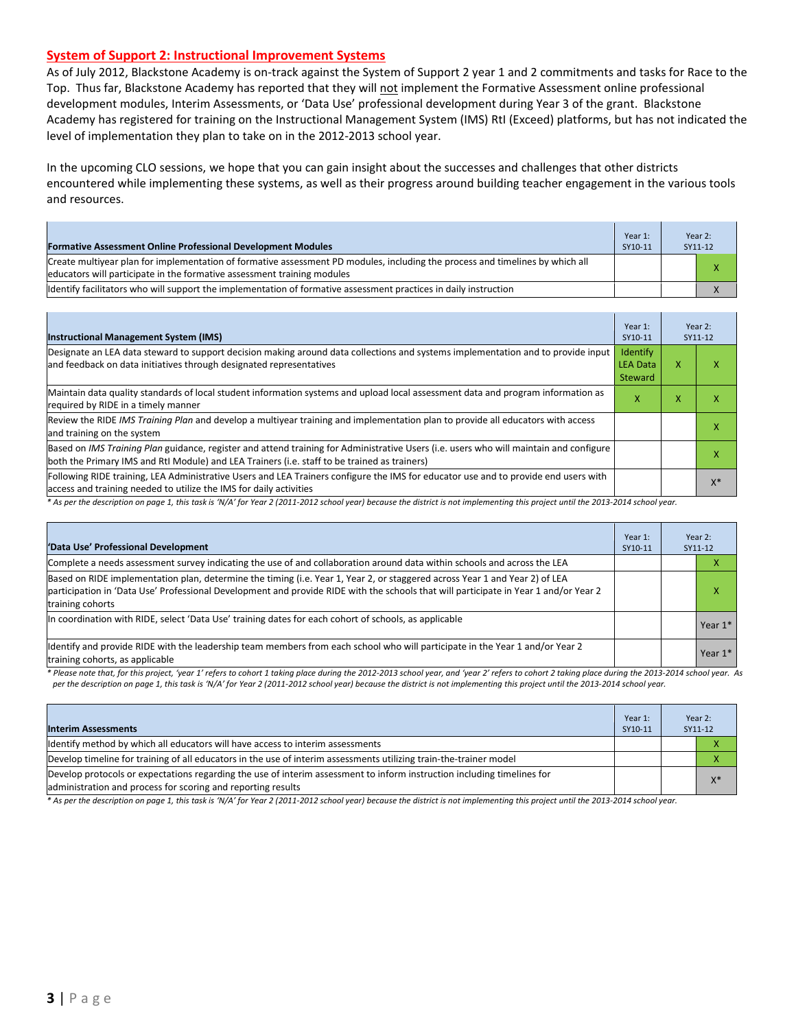#### **System of Support 2: Instructional Improvement Systems**

As of July 2012, Blackstone Academy is on-track against the System of Support 2 year 1 and 2 commitments and tasks for Race to the Top. Thus far, Blackstone Academy has reported that they will not implement the Formative Assessment online professional development modules, Interim Assessments, or 'Data Use' professional development during Year 3 of the grant. Blackstone Academy has registered for training on the Instructional Management System (IMS) RtI (Exceed) platforms, but has not indicated the level of implementation they plan to take on in the 2012-2013 school year.

In the upcoming CLO sessions, we hope that you can gain insight about the successes and challenges that other districts encountered while implementing these systems, as well as their progress around building teacher engagement in the various tools and resources.

| <b>Formative Assessment Online Professional Development Modules</b>                                                                                                                                       | Year 1:<br>SY10-11 | Year 2:<br>SY11-12 |
|-----------------------------------------------------------------------------------------------------------------------------------------------------------------------------------------------------------|--------------------|--------------------|
| Create multiyear plan for implementation of formative assessment PD modules, including the process and timelines by which all<br>leducators will participate in the formative assessment training modules |                    | х                  |
| ldentify facilitators who will support the implementation of formative assessment practices in daily instruction                                                                                          |                    |                    |

| <b>Instructional Management System (IMS)</b>                                                                                                                                                                                           | Year 1:<br>SY10-11                            |   | Year 2:<br>SY11-12 |
|----------------------------------------------------------------------------------------------------------------------------------------------------------------------------------------------------------------------------------------|-----------------------------------------------|---|--------------------|
| Designate an LEA data steward to support decision making around data collections and systems implementation and to provide input<br>and feedback on data initiatives through designated representatives                                | Identify<br><b>LEA Data</b><br><b>Steward</b> | x |                    |
| Maintain data quality standards of local student information systems and upload local assessment data and program information as<br>required by RIDE in a timely manner                                                                | x                                             | x |                    |
| Review the RIDE IMS Training Plan and develop a multiyear training and implementation plan to provide all educators with access<br>and training on the system                                                                          |                                               |   |                    |
| Based on IMS Training Plan guidance, register and attend training for Administrative Users (i.e. users who will maintain and configure<br>both the Primary IMS and RtI Module) and LEA Trainers (i.e. staff to be trained as trainers) |                                               |   |                    |
| Following RIDE training, LEA Administrative Users and LEA Trainers configure the IMS for educator use and to provide end users with<br>access and training needed to utilize the IMS for daily activities                              |                                               |   | v*                 |

\* As per the description on page 1, this task is 'N/A' for Year 2 (2011-2012 school year) because the district is not implementing this project until the 2013-2014 school year.

| 'Data Use' Professional Development                                                                                                                                                                                                                                                     | Year 1:<br>SY10-11 | Year 2:<br>SY11-12 |           |
|-----------------------------------------------------------------------------------------------------------------------------------------------------------------------------------------------------------------------------------------------------------------------------------------|--------------------|--------------------|-----------|
| Complete a needs assessment survey indicating the use of and collaboration around data within schools and across the LEA                                                                                                                                                                |                    |                    |           |
| Based on RIDE implementation plan, determine the timing (i.e. Year 1, Year 2, or staggered across Year 1 and Year 2) of LEA<br>participation in 'Data Use' Professional Development and provide RIDE with the schools that will participate in Year 1 and/or Year 2<br>training cohorts |                    |                    | x         |
| In coordination with RIDE, select 'Data Use' training dates for each cohort of schools, as applicable                                                                                                                                                                                   |                    |                    | Year 1*   |
| Identify and provide RIDE with the leadership team members from each school who will participate in the Year 1 and/or Year 2<br>training cohorts, as applicable                                                                                                                         |                    |                    | Year $1*$ |

*\* Please note that, for this project, 'year 1' refers to cohort 1 taking place during the 2012-2013 school year, and 'year 2' refers to cohort 2 taking place during the 2013-2014 school year. As*  per the description on page 1, this task is 'N/A' for Year 2 (2011-2012 school year) because the district is not implementing this project until the 2013-2014 school year.

| <b>Interim Assessments</b>                                                                                                                                                              | Year 1:<br>SY10-11 | Year 2:<br>SY11-12 |       |
|-----------------------------------------------------------------------------------------------------------------------------------------------------------------------------------------|--------------------|--------------------|-------|
| Identify method by which all educators will have access to interim assessments                                                                                                          |                    |                    |       |
| Develop timeline for training of all educators in the use of interim assessments utilizing train-the-trainer model                                                                      |                    |                    |       |
| Develop protocols or expectations regarding the use of interim assessment to inform instruction including timelines for<br>administration and process for scoring and reporting results |                    |                    | $X^*$ |

*\* As per the description on page 1, this task is 'N/A' for Year 2 (2011-2012 school year) because the district is not implementing this project until the 2013-2014 school year.*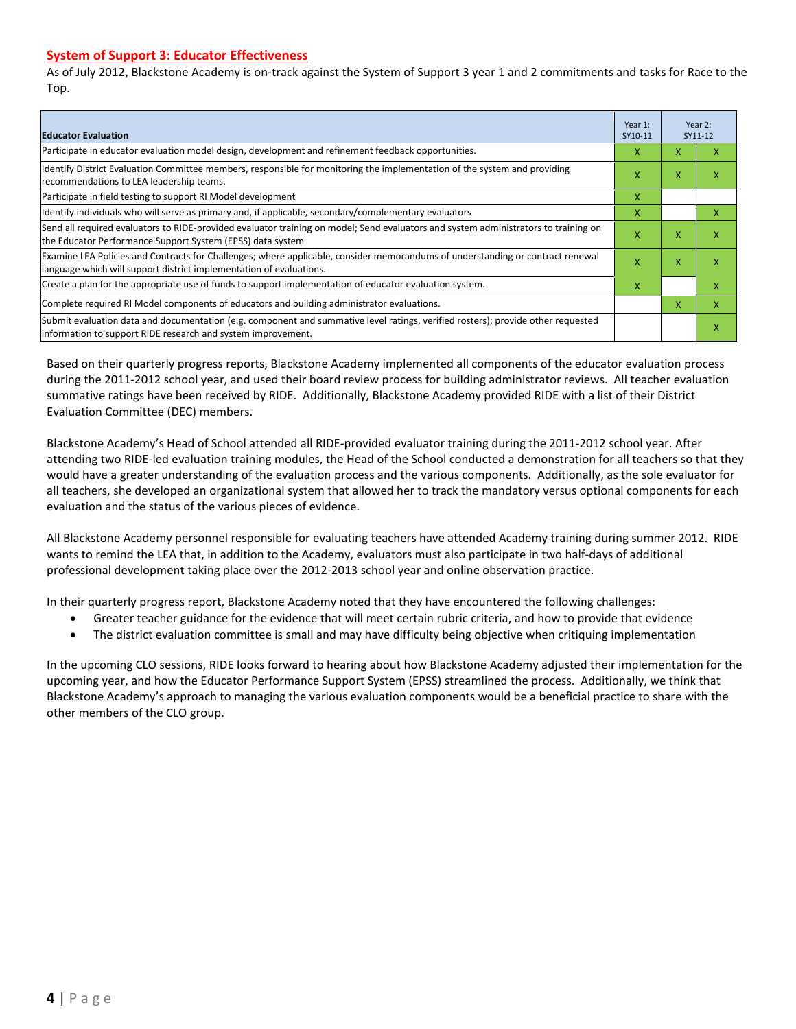#### **System of Support 3: Educator Effectiveness**

As of July 2012, Blackstone Academy is on-track against the System of Support 3 year 1 and 2 commitments and tasks for Race to the Top.

| <b>Educator Evaluation</b>                                                                                                                                                                            | Year 1:<br>SY10-11 |             | Year 2:<br>SY11-12 |
|-------------------------------------------------------------------------------------------------------------------------------------------------------------------------------------------------------|--------------------|-------------|--------------------|
| Participate in educator evaluation model design, development and refinement feedback opportunities.                                                                                                   | x                  | $\mathbf x$ | v                  |
| Identify District Evaluation Committee members, responsible for monitoring the implementation of the system and providing<br>recommendations to LEA leadership teams.                                 |                    |             | x                  |
| Participate in field testing to support RI Model development                                                                                                                                          | X                  |             |                    |
| Ildentify individuals who will serve as primary and, if applicable, secondary/complementary evaluators                                                                                                | X                  |             | x                  |
| Send all required evaluators to RIDE-provided evaluator training on model; Send evaluators and system administrators to training on<br>the Educator Performance Support System (EPSS) data system     | x                  | X           | x                  |
| Examine LEA Policies and Contracts for Challenges; where applicable, consider memorandums of understanding or contract renewal<br>language which will support district implementation of evaluations. | x                  | X           | x                  |
| Create a plan for the appropriate use of funds to support implementation of educator evaluation system.                                                                                               | x                  |             | x                  |
| Complete required RI Model components of educators and building administrator evaluations.                                                                                                            |                    | X           | X                  |
| Submit evaluation data and documentation (e.g. component and summative level ratings, verified rosters); provide other requested<br>linformation to support RIDE research and system improvement.     |                    |             | x                  |

Based on their quarterly progress reports, Blackstone Academy implemented all components of the educator evaluation process during the 2011-2012 school year, and used their board review process for building administrator reviews. All teacher evaluation summative ratings have been received by RIDE. Additionally, Blackstone Academy provided RIDE with a list of their District Evaluation Committee (DEC) members.

Blackstone Academy's Head of School attended all RIDE-provided evaluator training during the 2011-2012 school year. After attending two RIDE-led evaluation training modules, the Head of the School conducted a demonstration for all teachers so that they would have a greater understanding of the evaluation process and the various components. Additionally, as the sole evaluator for all teachers, she developed an organizational system that allowed her to track the mandatory versus optional components for each evaluation and the status of the various pieces of evidence.

All Blackstone Academy personnel responsible for evaluating teachers have attended Academy training during summer 2012. RIDE wants to remind the LEA that, in addition to the Academy, evaluators must also participate in two half-days of additional professional development taking place over the 2012-2013 school year and online observation practice.

In their quarterly progress report, Blackstone Academy noted that they have encountered the following challenges:

- Greater teacher guidance for the evidence that will meet certain rubric criteria, and how to provide that evidence
- The district evaluation committee is small and may have difficulty being objective when critiquing implementation

In the upcoming CLO sessions, RIDE looks forward to hearing about how Blackstone Academy adjusted their implementation for the upcoming year, and how the Educator Performance Support System (EPSS) streamlined the process. Additionally, we think that Blackstone Academy's approach to managing the various evaluation components would be a beneficial practice to share with the other members of the CLO group.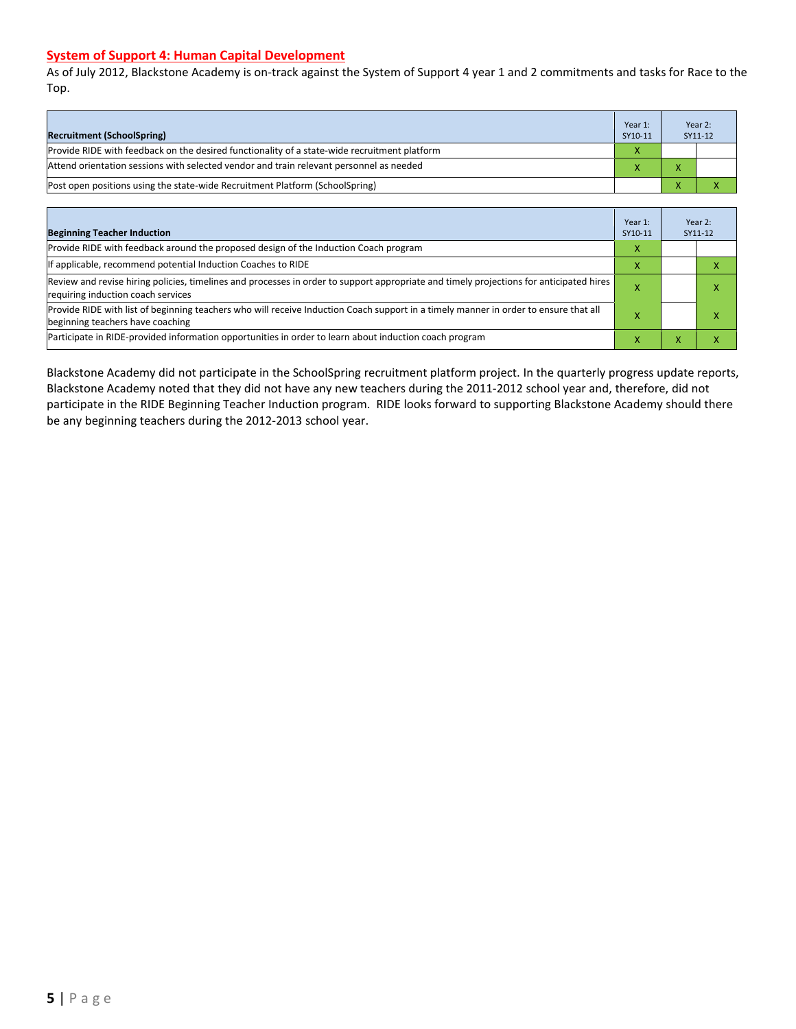#### **System of Support 4: Human Capital Development**

As of July 2012, Blackstone Academy is on-track against the System of Support 4 year 1 and 2 commitments and tasks for Race to the Top.

| <b>Recruitment (SchoolSpring)</b>                                                            | Year 1:<br>SY10-11 |                | Year 2:<br>SY11-12 |
|----------------------------------------------------------------------------------------------|--------------------|----------------|--------------------|
| Provide RIDE with feedback on the desired functionality of a state-wide recruitment platform | $\mathbf v$        |                |                    |
| Attend orientation sessions with selected vendor and train relevant personnel as needed      |                    | $\overline{ }$ |                    |
| [Post open positions using the state-wide Recruitment Platform (SchoolSpring)                |                    | $\mathbf{v}$   |                    |

| <b>Beginning Teacher Induction</b>                                                                                                                                            | Year 1:<br>SY10-11 |           | Year 2:<br>SY11-12 |
|-------------------------------------------------------------------------------------------------------------------------------------------------------------------------------|--------------------|-----------|--------------------|
| Provide RIDE with feedback around the proposed design of the Induction Coach program                                                                                          | x                  |           |                    |
| If applicable, recommend potential Induction Coaches to RIDE                                                                                                                  |                    |           |                    |
| Review and revise hiring policies, timelines and processes in order to support appropriate and timely projections for anticipated hires<br>requiring induction coach services |                    |           |                    |
| Provide RIDE with list of beginning teachers who will receive Induction Coach support in a timely manner in order to ensure that all<br>beginning teachers have coaching      |                    |           |                    |
| Participate in RIDE-provided information opportunities in order to learn about induction coach program                                                                        |                    | $\lambda$ |                    |

Blackstone Academy did not participate in the SchoolSpring recruitment platform project. In the quarterly progress update reports, Blackstone Academy noted that they did not have any new teachers during the 2011-2012 school year and, therefore, did not participate in the RIDE Beginning Teacher Induction program. RIDE looks forward to supporting Blackstone Academy should there be any beginning teachers during the 2012-2013 school year.